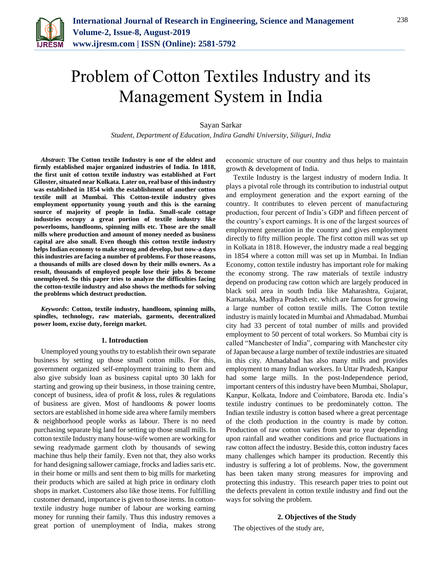

# Problem of Cotton Textiles Industry and its Management System in India

Sayan Sarkar

*Student, Department of Education, Indira Gandhi University, Siliguri, India*

*Abstract***: The Cotton textile Industry is one of the oldest and firmly established major organized industries of India. In 1818, the first unit of cotton textile industry was established at Fort Glloster, situated near Kolkata. Later on, real base of this industry was established in 1854 with the establishment of another cotton textile mill at Mumbai. This Cotton-textile industry gives employment opportunity young youth and this is the earning source of majority of people in India. Small-scale cottage industries occupy a great portion of textile industry like powerlooms, handlooms, spinning mills etc. Those are the small mills where production and amount of money needed as business capital are also small. Even though this cotton textile industry helps Indian economy to make strong and develop, but now-a days this industries are facing a number of problems. For those reasons, a thousands of mills are closed down by their mills owners. As a result, thousands of employed people lose their jobs & become unemployed. So this paper tries to analyze the difficulties facing the cotton-textile industry and also shows the methods for solving the problems which destruct production.**

*Keywords***: Cotton, textile industry, handloom, spinning mills, spindles, technology, raw materials, garments, decentralized power loom, excise duty, foreign market.**

#### **1. Introduction**

Unemployed young youths try to establish their own separate business by setting up those small cotton mills. For this, government organized self-employment training to them and also give subsidy loan as business capital upto 30 lakh for starting and growing up their business, in those training centre, concept of business, idea of profit & loss, rules & regulations of business are given. Most of handlooms & power looms sectors are established in home side area where family members & neighborhood people works as labour. There is no need purchasing separate big land for setting up those small mills. In cotton textile Industry many house-wife women are working for sewing readymade garment cloth by thousands of sewing machine thus help their family. Even not that, they also works for hand designing sallower camiage, frocks and ladies saris etc. in their home or mills and sent them to big mills for marketing their products which are sailed at high price in ordinary cloth shops in market. Customers also like those items. For fulfilling customer demand, importance is given to those items. In cottontextile industry huge number of labour are working earning money for running their family. Thus this industry removes a great portion of unemployment of India, makes strong economic structure of our country and thus helps to maintain growth & development of India.

Textile Industry is the largest industry of modern India. It plays a pivotal role through its contribution to industrial output and employment generation and the export earning of the country. It contributes to eleven percent of manufacturing production, four percent of India's GDP and fifteen percent of the country's export earnings. It is one of the largest sources of employment generation in the country and gives employment directly to fifty million people. The first cotton mill was set up in Kolkata in 1818. However, the industry made a real begging in 1854 where a cotton mill was set up in Mumbai. In Indian Economy, cotton textile industry has important role for making the economy strong. The raw materials of textile industry depend on producing raw cotton which are largely produced in black soil area in south India like Maharashtra, Gujarat, Karnataka, Madhya Pradesh etc. which are famous for growing a large number of cotton textile mills. The Cotton textile industry is mainly located in Mumbai and Ahmadabad. Mumbai city had 33 percent of total number of mills and provided employment to 50 percent of total workers. So Mumbai city is called "Manchester of India", comparing with Manchester city of Japan because a large number of textile industries are situated in this city. Ahmadabad has also many mills and provides employment to many Indian workers. In Uttar Pradesh, Kanpur had some large mills. In the post-Independence period, important centers of this industry have been Mumbai, Sholapur, Kanpur, Kolkata, Indore and Coimbatore, Baroda etc. India's textile industry continues to be predominately cotton. The Indian textile industry is cotton based where a great percentage of the cloth production in the country is made by cotton. Production of raw cotton varies from year to year depending upon rainfall and weather conditions and price fluctuations in raw cotton affect the industry. Beside this, cotton industry faces many challenges which hamper its production. Recently this industry is suffering a lot of problems. Now, the government has been taken many strong measures for improving and protecting this industry. This research paper tries to point out the defects prevalent in cotton textile industry and find out the ways for solving the problem.

#### **2. Objectives of the Study**

The objectives of the study are,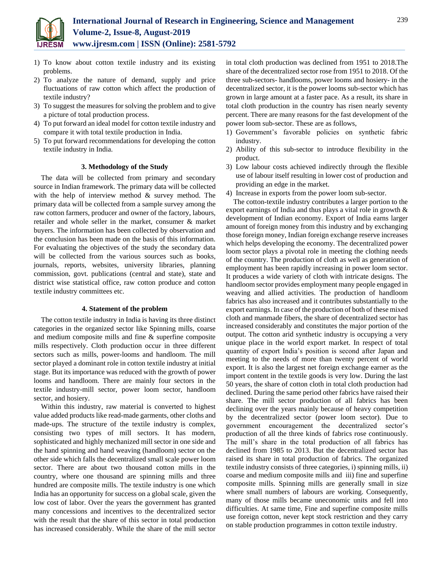- 1) To know about cotton textile industry and its existing problems.
- 2) To analyze the nature of demand, supply and price fluctuations of raw cotton which affect the production of textile industry?
- 3) To suggest the measures for solving the problem and to give a picture of total production process.
- 4) To put forward an ideal model for cotton textile industry and compare it with total textile production in India.
- 5) To put forward recommendations for developing the cotton textile industry in India.

## **3. Methodology of the Study**

The data will be collected from primary and secondary source in Indian framework. The primary data will be collected with the help of interview method & survey method. The primary data will be collected from a sample survey among the raw cotton farmers, producer and owner of the factory, labours, retailer and whole seller in the market, consumer & market buyers. The information has been collected by observation and the conclusion has been made on the basis of this information. For evaluating the objectives of the study the secondary data will be collected from the various sources such as books, journals, reports, websites, university libraries, planning commission, govt. publications (central and state), state and district wise statistical office, raw cotton produce and cotton textile industry committees etc.

### **4. Statement of the problem**

The cotton textile industry in India is having its three distinct categories in the organized sector like Spinning mills, coarse and medium composite mills and fine & superfine composite mills respectively. Cloth production occur in three different sectors such as mills, power-looms and handloom. The mill sector played a dominant role in cotton textile industry at initial stage. But its importance was reduced with the growth of power looms and handloom. There are mainly four sectors in the textile industry-mill sector, power loom sector, handloom sector, and hosiery.

Within this industry, raw material is converted to highest value added products like read-made garments, other cloths and made-ups. The structure of the textile industry is complex, consisting two types of mill sectors. It has modern, sophisticated and highly mechanized mill sector in one side and the hand spinning and hand weaving (handloom) sector on the other side which falls the decentralized small scale power loom sector. There are about two thousand cotton mills in the country, where one thousand are spinning mills and three hundred are composite mills. The textile industry is one which India has an opportunity for success on a global scale, given the low cost of labor. Over the years the government has granted many concessions and incentives to the decentralized sector with the result that the share of this sector in total production has increased considerably. While the share of the mill sector

in total cloth production was declined from 1951 to 2018.The share of the decentralized sector rose from 1951 to 2018. Of the three sub-sectors- handlooms, power looms and hosiery- in the decentralized sector, it is the power looms sub-sector which has grown in large amount at a faster pace. As a result, its share in total cloth production in the country has risen nearly seventy percent. There are many reasons for the fast development of the power loom sub-sector. These are as follows,

- 1) Government's favorable policies on synthetic fabric industry.
- 2) Ability of this sub-sector to introduce flexibility in the product.
- 3) Low labour costs achieved indirectly through the flexible use of labour itself resulting in lower cost of production and providing an edge in the market.
- 4) Increase in exports from the power loom sub-sector.

The cotton-textile industry contributes a larger portion to the export earnings of India and thus plays a vital role in growth & development of Indian economy. Export of India earns larger amount of foreign money from this industry and by exchanging those foreign money, Indian foreign exchange reserve increases which helps developing the economy. The decentralized power loom sector plays a pivotal role in meeting the clothing needs of the country. The production of cloth as well as generation of employment has been rapidly increasing in power loom sector. It produces a wide variety of cloth with intricate designs. The handloom sector provides employment many people engaged in weaving and allied activities. The production of handloom fabrics has also increased and it contributes substantially to the export earnings. In case of the production of both of these mixed cloth and manmade fibers, the share of decentralized sector has increased considerably and constitutes the major portion of the output. The cotton arid synthetic industry is occupying a very unique place in the world export market. In respect of total quantity of export India's position is second after Japan and meeting to the needs of more than twenty percent of world export. It is also the largest net foreign exchange earner as the import content in the textile goods is very low. During the last 50 years, the share of cotton cloth in total cloth production had declined. During the same period other fabrics have raised their share. The mill sector production of all fabrics has been declining over the years mainly because of heavy competition by the decentralized sector (power loom sector). Due to government encouragement the decentralized sector's production of all the three kinds of fabrics rose continuously. The mill's share in the total production of all fabrics has declined from 1985 to 2013. But the decentralized sector has raised its share in total production of fabrics. The organized textile industry consists of three categories, i) spinning mills, ii) coarse and medium composite mills and iii) fine and superfine composite mills. Spinning mills are generally small in size where small numbers of labours are working. Consequently, many of those mills became uneconomic units and fell into difficulties. At same time, Fine and superfine composite mills use foreign cotton, never kept stock restriction and they carry on stable production programmes in cotton textile industry.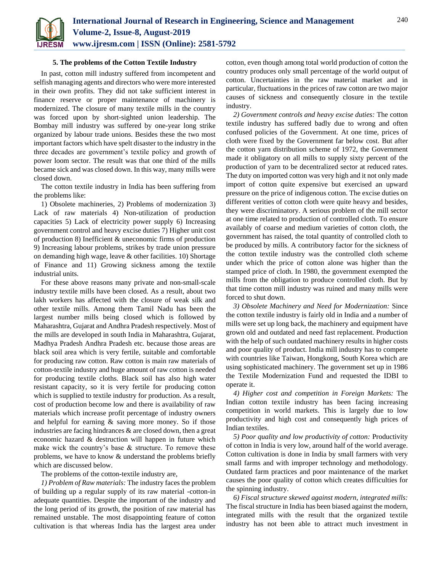

## **5. The problems of the Cotton Textile Industry**

In past, cotton mill industry suffered from incompetent and selfish managing agents and directors who were more interested in their own profits. They did not take sufficient interest in finance reserve or proper maintenance of machinery is modernized. The closure of many textile mills in the country was forced upon by short-sighted union leadership. The Bombay mill industry was suffered by one-year long strike organized by labour trade unions. Besides these the two most important factors which have spelt disaster to the industry in the three decades are government's textile policy and growth of power loom sector. The result was that one third of the mills became sick and was closed down. In this way, many mills were closed down.

The cotton textile industry in India has been suffering from the problems like:

1) Obsolete machineries, 2) Problems of modernization 3) Lack of raw materials 4) Non-utilization of production capacities 5) Lack of electricity power supply 6) Increasing government control and heavy excise duties 7) Higher unit cost of production 8) Inefficient & uneconomic firms of production 9) Increasing labour problems, strikes by trade union pressure on demanding high wage, leave & other facilities. 10) Shortage of Finance and 11) Growing sickness among the textile industrial units.

For these above reasons many private and non-small-scale industry textile mills have been closed. As a result, about two lakh workers has affected with the closure of weak silk and other textile mills. Among them Tamil Nadu has been the largest number mills being closed which is followed by Maharashtra, Gujarat and Andhra Pradesh respectively. Most of the mills are developed in south India in Maharashtra, Gujarat, Madhya Pradesh Andhra Pradesh etc. because those areas are black soil area which is very fertile, suitable and comfortable for producing raw cotton. Raw cotton is main raw materials of cotton-textile industry and huge amount of raw cotton is needed for producing textile cloths. Black soil has also high water resistant capacity, so it is very fertile for producing cotton which is supplied to textile industry for production. As a result, cost of production become low and there is availability of raw materials which increase profit percentage of industry owners and helpful for earning & saving more money. So if those industries are facing hindrances & are closed down, then a great economic hazard & destruction will happen in future which make wick the country's base & structure. To remove these problems, we have to know & understand the problems briefly which are discussed below.

The problems of the cotton-textile industry are,

*1) Problem of Raw materials:* The industry faces the problem of building up a regular supply of its raw material -cotton-in adequate quantities. Despite the important of the industry and the long period of its growth, the position of raw material has remained unstable. The most disappointing feature of cotton cultivation is that whereas India has the largest area under

cotton, even though among total world production of cotton the country produces only small percentage of the world output of cotton. Uncertainties in the raw material market and in particular, fluctuations in the prices of raw cotton are two major causes of sickness and consequently closure in the textile industry.

*2) Government controls and heavy excise duties:* The cotton textile industry has suffered badly due to wrong and often confused policies of the Government. At one time, prices of cloth were fixed by the Government far below cost. But after the cotton yarn distribution scheme of 1972, the Government made it obligatory on all mills to supply sixty percent of the production of yarn to be decentralized sector at reduced rates. The duty on imported cotton was very high and it not only made import of cotton quite expensive but exercised an upward pressure on the price of indigenous cotton. The excise duties on different verities of cotton cloth were quite heavy and besides, they were discriminatory. A serious problem of the mill sector at one time related to production of controlled cloth. To ensure availably of coarse and medium varieties of cotton cloth, the government has raised, the total quantity of controlled cloth to be produced by mills. A contributory factor for the sickness of the cotton textile industry was the controlled cloth scheme under which the price of cotton alone was higher than the stamped price of cloth. In 1980, the government exempted the mills from the obligation to produce controlled cloth. But by that time cotton mill industry was ruined and many mills were forced to shut down.

*3) Obsolete Machinery and Need for Modernization:* Since the cotton textile industry is fairly old in India and a number of mills were set up long back, the machinery and equipment have grown old and outdated and need fast replacement. Production with the help of such outdated machinery results in higher costs and poor quality of product. India mill industry has to compete with countries like Taiwan, Hongkong, South Korea which are using sophisticated machinery. The government set up in 1986 the Textile Modernization Fund and requested the IDBI to operate it.

*4) Higher cost and competition in Foreign Markets:* The Indian cotton textile industry has been facing increasing competition in world markets. This is largely due to low productivity and high cost and consequently high prices of Indian textiles.

*5) Poor quality and low productivity of cotton:* Productivity of cotton in India is very low, around half of the world average. Cotton cultivation is done in India by small farmers with very small farms and with improper technology and methodology. Outdated farm practices and poor maintenance of the market causes the poor quality of cotton which creates difficulties for the spinning industry.

*6) Fiscal structure skewed against modern, integrated mills:*  The fiscal structure in India has been biased against the modern, integrated mills with the result that the organized textile industry has not been able to attract much investment in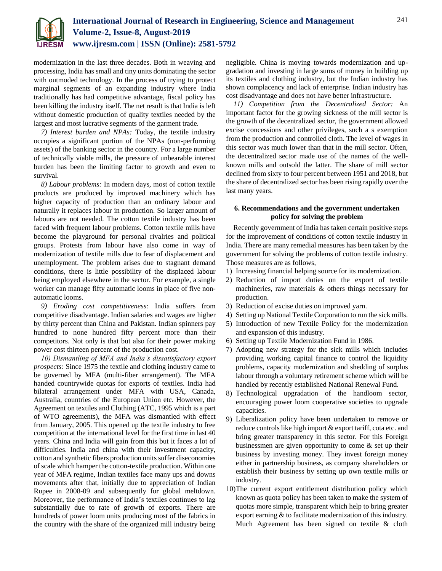

modernization in the last three decades. Both in weaving and processing, India has small and tiny units dominating the sector with outmoded technology. In the process of trying to protect marginal segments of an expanding industry where India traditionally has had competitive advantage, fiscal policy has been killing the industry itself. The net result is that India is left without domestic production of quality textiles needed by the largest and most lucrative segments of the garment trade.

*7) Interest burden and NPAs:* Today, the textile industry occupies a significant portion of the NPAs (non-performing assets) of the banking sector in the country. For a large number of technically viable mills, the pressure of unbearable interest burden has been the limiting factor to growth and even to survival.

*8) Labour problems:* In modern days, most of cotton textile products are produced by improved machinery which has higher capacity of production than an ordinary labour and naturally it replaces labour in production. So larger amount of labours are not needed. The cotton textile industry has been faced with frequent labour problems. Cotton textile mills have become the playground for personal rivalries and political groups. Protests from labour have also come in way of modernization of textile mills due to fear of displacement and unemployment. The problem arises due to stagnant demand conditions, there is little possibility of the displaced labour being employed elsewhere in the sector. For example, a single worker can manage fifty automatic looms in place of five nonautomatic looms.

*9) Eroding cost competitiveness:* India suffers from competitive disadvantage. Indian salaries and wages are higher by thirty percent than China and Pakistan. Indian spinners pay hundred to none hundred fifty percent more than their competitors. Not only is that but also for their power making power cost thirteen percent of the production cost.

*10) Dismantling of MFA and India's dissatisfactory export prospects:* Since 1975 the textile and clothing industry came to be governed by MFA (multi-fiber arrangement). The MFA handed countrywide quotas for exports of textiles. India had bilateral arrangement under MFA with USA, Canada, Australia, countries of the European Union etc. However, the Agreement on textiles and Clothing (ATC, 1995 which is a part of WTO agreements), the MFA was dismantled with effect from January, 2005. This opened up the textile industry to free competition at the international level for the first time in last 40 years. China and India will gain from this but it faces a lot of difficulties. India and china with their investment capacity, cotton and synthetic fibers production units suffer diseconomies of scale which hamper the cotton-textile production. Within one year of MFA regime, Indian textiles face many ups and downs movements after that, initially due to appreciation of Indian Rupee in 2008-09 and subsequently for global meltdown. Moreover, the performance of India's textiles continues to lag substantially due to rate of growth of exports. There are hundreds of power loom units producing most of the fabrics in the country with the share of the organized mill industry being

negligible. China is moving towards modernization and upgradation and investing in large sums of money in building up its textiles and clothing industry, but the Indian industry has shown complacency and lack of enterprise. Indian industry has cost disadvantage and does not have better infrastructure.

*11) Competition from the Decentralized Sector:* An important factor for the growing sickness of the mill sector is the growth of the decentralized sector, the government allowed excise concessions and other privileges, such a s exemption from the production and controlled cloth. The level of wages in this sector was much lower than that in the mill sector. Often, the decentralized sector made use of the names of the wellknown mills and outsold the latter. The share of mill sector declined from sixty to four percent between 1951 and 2018, but the share of decentralized sector has been rising rapidly over the last many years.

# **6. Recommendations and the government undertaken policy for solving the problem**

Recently government of India has taken certain positive steps for the improvement of conditions of cotton textile industry in India. There are many remedial measures has been taken by the government for solving the problems of cotton textile industry. Those measures are as follows,

- 1) Increasing financial helping source for its modernization.
- 2) Reduction of import duties on the export of textile machineries, raw materials & others things necessary for production.
- 3) Reduction of excise duties on improved yarn.
- 4) Setting up National Textile Corporation to run the sick mills.
- 5) Introduction of new Textile Policy for the modernization and expansion of this industry.
- 6) Setting up Textile Modernization Fund in 1986.
- 7) Adopting new strategy for the sick mills which includes providing working capital finance to control the liquidity problems, capacity modernization and shedding of surplus labour through a voluntary retirement scheme which will be handled by recently established National Renewal Fund.
- 8) Technological upgradation of the handloom sector, encouraging power loom cooperative societies to upgrade capacities.
- 9) Liberalization policy have been undertaken to remove or reduce controls like high import & export tariff, cota etc. and bring greater transparency in this sector. For this Foreign businessmen are given opportunity to come & set up their business by investing money. They invest foreign money either in partnership business, as company shareholders or establish their business by setting up own textile mills or industry.
- 10)The current export entitlement distribution policy which known as quota policy has been taken to make the system of quotas more simple, transparent which help to bring greater export earning & to facilitate modernization of this industry. Much Agreement has been signed on textile & cloth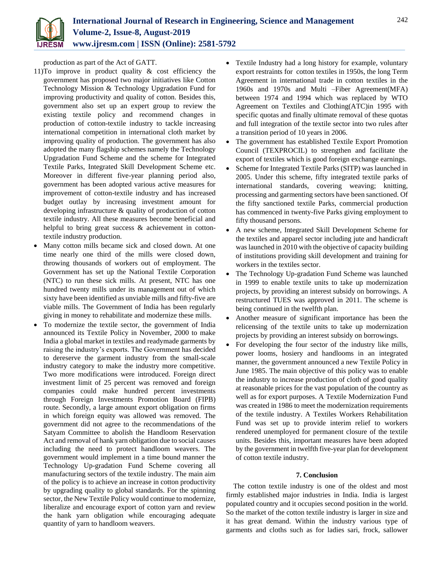

production as part of the Act of GATT.

- 11)To improve in product quality & cost efficiency the government has proposed two major initiatives like Cotton Technology Mission & Technology Upgradation Fund for improving productivity and quality of cotton. Besides this, government also set up an expert group to review the existing textile policy and recommend changes in production of cotton-textile industry to tackle increasing international competition in international cloth market by improving quality of production. The government has also adopted the many flagship schemes namely the Technology Upgradation Fund Scheme and the scheme for Integrated Textile Parks, Integrated Skill Development Scheme etc. Moreover in different five-year planning period also, government has been adopted various active measures for improvement of cotton-textile industry and has increased budget outlay by increasing investment amount for developing infrastructure & quality of production of cotton textile industry. All these measures become beneficial and helpful to bring great success & achievement in cottontextile industry production.
- Many cotton mills became sick and closed down. At one time nearly one third of the mills were closed down, throwing thousands of workers out of employment. The Government has set up the National Textile Corporation (NTC) to run these sick mills. At present, NTC has one hundred twenty mills under its management out of which sixty have been identified as unviable mills and fifty-five are viable mills. The Government of India has been regularly giving in money to rehabilitate and modernize these mills.
- To modernize the textile sector, the government of India announced its Textile Policy in November, 2000 to make India a global market in textiles and readymade garments by raising the industry's exports. The Government has decided to dereserve the garment industry from the small-scale industry category to make the industry more competitive. Two more modifications were introduced. Foreign direct investment limit of 25 percent was removed and foreign companies could make hundred percent investments through Foreign Investments Promotion Board (FIPB) route. Secondly, a large amount export obligation on firms in which foreign equity was allowed was removed. The government did not agree to the recommendations of the Satyam Committee to abolish the Handloom Reservation Act and removal of hank yarn obligation due to social causes including the need to protect handloom weavers. The government would implement in a time bound manner the Technology Up-gradation Fund Scheme covering all manufacturing sectors of the textile industry. The main aim of the policy is to achieve an increase in cotton productivity by upgrading quality to global standards. For the spinning sector, the New Textile Policy would continue to modernize, liberalize and encourage export of cotton yarn and review the hank yarn obligation while encouraging adequate quantity of yarn to handloom weavers.
- Textile Industry had a long history for example, voluntary export restraints for cotton textiles in 1950s, the long Term Agreement in international trade in cotton textiles in the 1960s and 1970s and Multi –Fiber Agreement(MFA) between 1974 and 1994 which was replaced by WTO Agreement on Textiles and Clothing(ATC)in 1995 with specific quotas and finally ultimate removal of these quotas and full integration of the textile sector into two rules after a transition period of 10 years in 2006.
- The government has established Textile Export Promotion Council (TEXPROCIL) to strengthen and facilitate the export of textiles which is good foreign exchange earnings.
- Scheme for Integrated Textile Parks (SITP) was launched in 2005. Under this scheme, fifty integrated textile parks of international standards, covering weaving; knitting, processing and garmenting sectors have been sanctioned. Of the fifty sanctioned textile Parks, commercial production has commenced in twenty-five Parks giving employment to fifty thousand persons.
- A new scheme, Integrated Skill Development Scheme for the textiles and apparel sector including jute and handicraft was launched in 2010 with the objective of capacity building of institutions providing skill development and training for workers in the textiles sector.
- The Technology Up-gradation Fund Scheme was launched in 1999 to enable textile units to take up modernization projects, by providing an interest subsidy on borrowings. A restructured TUES was approved in 2011. The scheme is being continued in the twelfth plan.
- Another measure of significant importance has been the relicensing of the textile units to take up modernization projects by providing an interest subsidy on borrowings.
- For developing the four sector of the industry like mills, power looms, hosiery and handlooms in an integrated manner, the government announced a new Textile Policy in June 1985. The main objective of this policy was to enable the industry to increase production of cloth of good quality at reasonable prices for the vast population of the country as well as for export purposes. A Textile Modernization Fund was created in 1986 to meet the modernization requirements of the textile industry. A Textiles Workers Rehabilitation Fund was set up to provide interim relief to workers rendered unemployed for permanent closure of the textile units. Besides this, important measures have been adopted by the government in twelfth five-year plan for development of cotton textile industry.

## **7. Conclusion**

The cotton textile industry is one of the oldest and most firmly established major industries in India. India is largest populated country and it occupies second position in the world. So the market of the cotton textile industry is larger in size and it has great demand. Within the industry various type of garments and cloths such as for ladies sari, frock, sallower